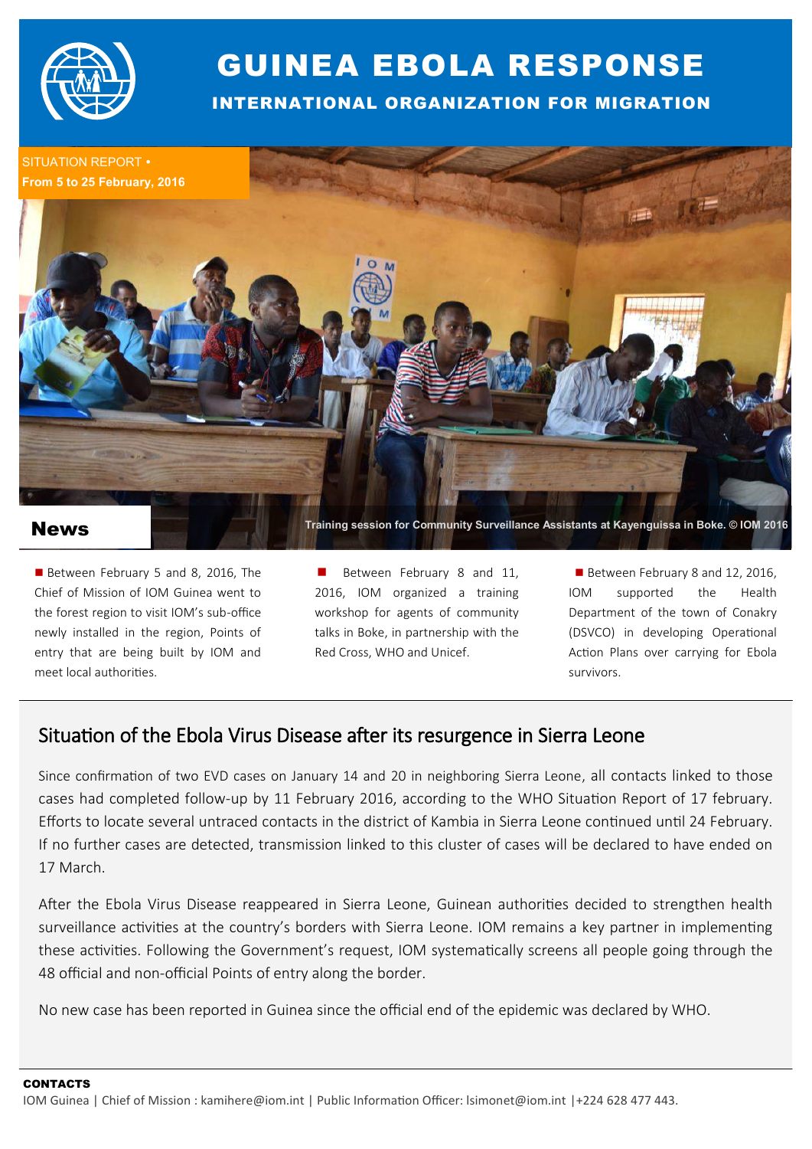

## GUINEA EBOLA RESPONSE

INTERNATIONAL ORGANIZATION FOR MIGRATION

SITUATION REPORT .



## News

Between February 5 and 8, 2016, The Chief of Mission of IOM Guinea went to the forest region to visit IOM's sub-office newly installed in the region, Points of entry that are being built by IOM and meet local authorities.

Between February 8 and 11, 2016, IOM organized a training workshop for agents of community talks in Boke, in partnership with the Red Cross, WHO and Unicef.

Between February 8 and 12, 2016, IOM supported the Health Department of the town of Conakry (DSVCO) in developing Operational Action Plans over carrying for Ebola survivors.

## Situation of the Ebola Virus Disease after its resurgence in Sierra Leone

Since confirmation of two EVD cases on January 14 and 20 in neighboring Sierra Leone, all contacts linked to those cases had completed follow-up by 11 February 2016, according to the WHO Situation Report of 17 february. Efforts to locate several untraced contacts in the district of Kambia in Sierra Leone continued until 24 February. If no further cases are detected, transmission linked to this cluster of cases will be declared to have ended on 17 March.

After the Ebola Virus Disease reappeared in Sierra Leone, Guinean authorities decided to strengthen health surveillance activities at the country's borders with Sierra Leone. IOM remains a key partner in implementing these activities. Following the Government's request, IOM systematically screens all people going through the 48 official and non-official Points of entry along the border.

No new case has been reported in Guinea since the official end of the epidemic was declared by WHO.

**CONTACTS** 

IOM Guinea | Chief of Mission : kamihere@iom.int | Public Information Officer: lsimonet@iom.int |+224 628 477 443.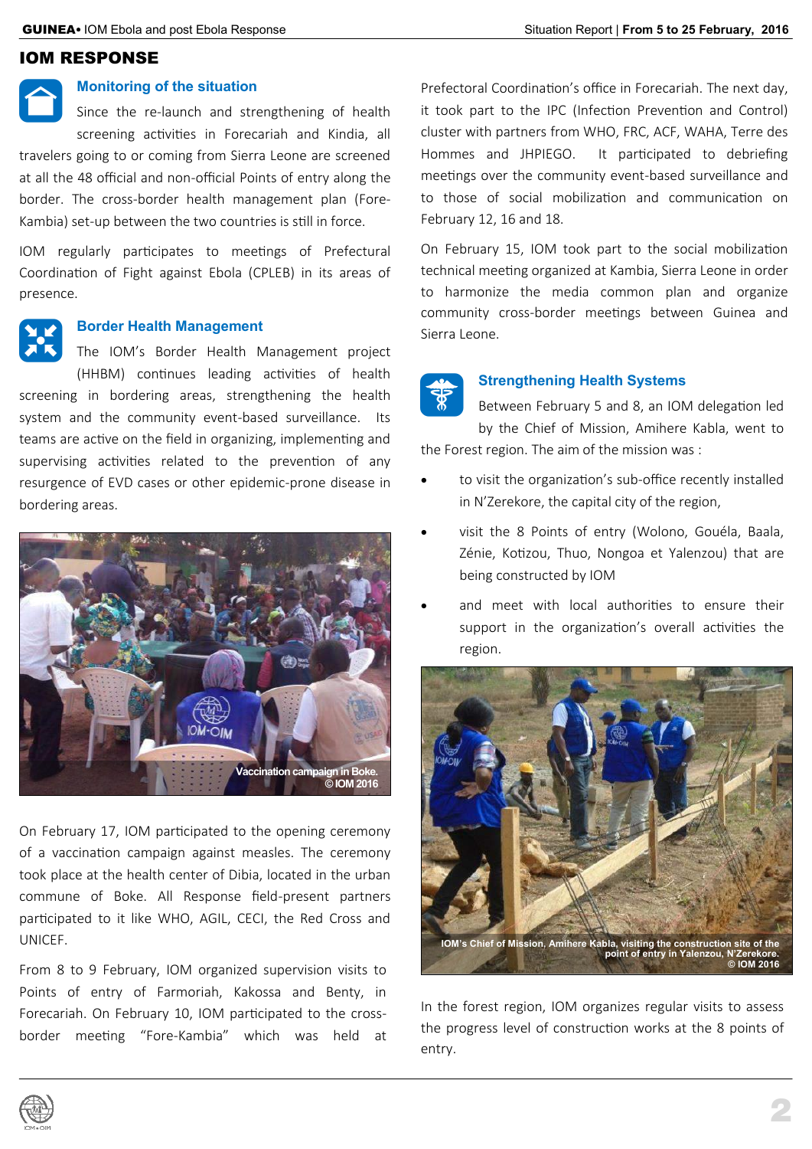## IOM RESPONSE

## **Monitoring of the situation**

 $\bigcap$ Since the re-launch and strengthening of health screening activities in Forecariah and Kindia, all travelers going to or coming from Sierra Leone are screened at all the 48 official and non-official Points of entry along the border. The cross-border health management plan (Fore-Kambia) set-up between the two countries is still in force.

IOM regularly participates to meetings of Prefectural Coordination of Fight against Ebola (CPLEB) in its areas of presence.

## **Border Health Management**

**AK** The IOM's Border Health Management project (HHBM) continues leading activities of health screening in bordering areas, strengthening the health system and the community event-based surveillance. Its teams are active on the field in organizing, implementing and supervising activities related to the prevention of any resurgence of EVD cases or other epidemic-prone disease in bordering areas.



On February 17, IOM participated to the opening ceremony of a vaccination campaign against measles. The ceremony took place at the health center of Dibia, located in the urban commune of Boke. All Response field-present partners participated to it like WHO, AGIL, CECI, the Red Cross and UNICEF.

From 8 to 9 February, IOM organized supervision visits to Points of entry of Farmoriah, Kakossa and Benty, in Forecariah. On February 10, IOM participated to the crossborder meeting "Fore-Kambia" which was held at Prefectoral Coordination's office in Forecariah. The next day, it took part to the IPC (Infection Prevention and Control) cluster with partners from WHO, FRC, ACF, WAHA, Terre des Hommes and JHPIEGO. It participated to debriefing meetings over the community event-based surveillance and to those of social mobilization and communication on February 12, 16 and 18.

On February 15, IOM took part to the social mobilization technical meeting organized at Kambia, Sierra Leone in order to harmonize the media common plan and organize community cross-border meetings between Guinea and Sierra Leone.



### **Strengthening Health Systems**

Between February 5 and 8, an IOM delegation led by the Chief of Mission, Amihere Kabla, went to the Forest region. The aim of the mission was :

- to visit the organization's sub-office recently installed in N'Zerekore, the capital city of the region,
- visit the 8 Points of entry (Wolono, Gouéla, Baala, Zénie, Kotizou, Thuo, Nongoa et Yalenzou) that are being constructed by IOM
- and meet with local authorities to ensure their support in the organization's overall activities the region.



In the forest region, IOM organizes regular visits to assess the progress level of construction works at the 8 points of entry.

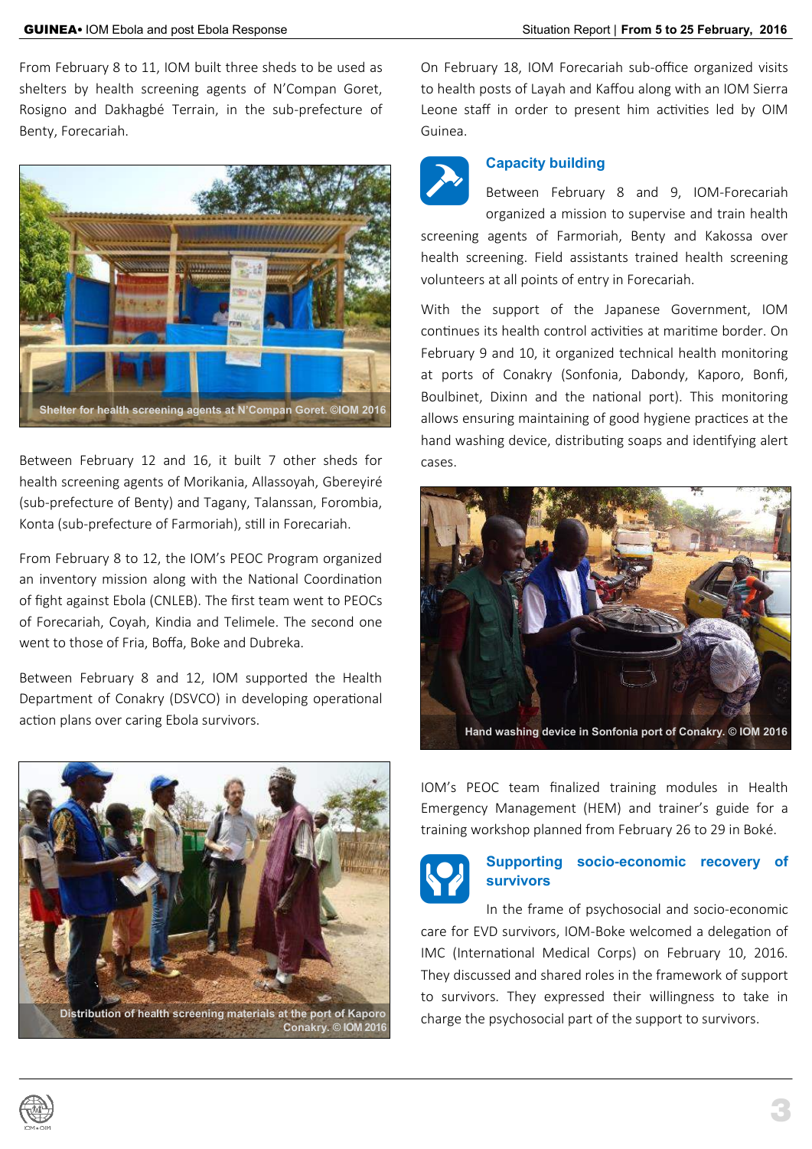From February 8 to 11, IOM built three sheds to be used as shelters by health screening agents of N'Compan Goret, Rosigno and Dakhagbé Terrain, in the sub-prefecture of Benty, Forecariah.



Between February 12 and 16, it built 7 other sheds for health screening agents of Morikania, Allassoyah, Gbereyiré (sub-prefecture of Benty) and Tagany, Talanssan, Forombia, Konta (sub-prefecture of Farmoriah), still in Forecariah.

From February 8 to 12, the IOM's PEOC Program organized an inventory mission along with the National Coordination of fight against Ebola (CNLEB). The first team went to PEOCs of Forecariah, Coyah, Kindia and Telimele. The second one went to those of Fria, Boffa, Boke and Dubreka.

Between February 8 and 12, IOM supported the Health Department of Conakry (DSVCO) in developing operational action plans over caring Ebola survivors.



On February 18, IOM Forecariah sub-office organized visits to health posts of Layah and Kaffou along with an IOM Sierra Leone staff in order to present him activities led by OIM Guinea.

## **Capacity building**



Between February 8 and 9, IOM-Forecariah organized a mission to supervise and train health

screening agents of Farmoriah, Benty and Kakossa over health screening. Field assistants trained health screening volunteers at all points of entry in Forecariah.

With the support of the Japanese Government, IOM continues its health control activities at maritime border. On February 9 and 10, it organized technical health monitoring at ports of Conakry (Sonfonia, Dabondy, Kaporo, Bonfi, Boulbinet, Dixinn and the national port). This monitoring allows ensuring maintaining of good hygiene practices at the hand washing device, distributing soaps and identifying alert cases.



IOM's PEOC team finalized training modules in Health Emergency Management (HEM) and trainer's guide for a training workshop planned from February 26 to 29 in Boké.



## **Supporting socio-economic recovery of survivors**

3

In the frame of psychosocial and socio-economic care for EVD survivors, IOM-Boke welcomed a delegation of IMC (International Medical Corps) on February 10, 2016. They discussed and shared roles in the framework of support to survivors. They expressed their willingness to take in charge the psychosocial part of the support to survivors.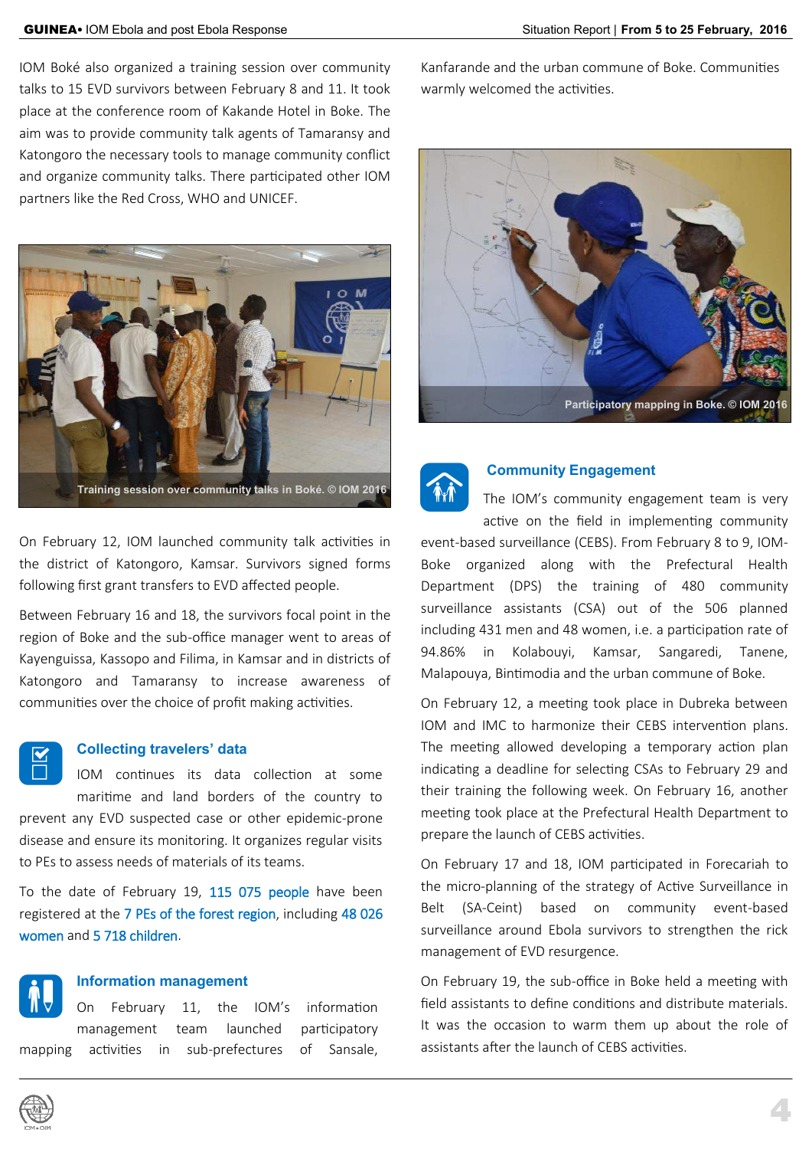IOM Boké also organized a training session over community talks to 15 EVD survivors between February 8 and 11. It took place at the conference room of Kakande Hotel in Boke. The aim was to provide community talk agents of Tamaransy and Katongoro the necessary tools to manage community conflict and organize community talks. There participated other IOM partners like the Red Cross, WHO and UNICEF.



On February 12, IOM launched community talk activities in the district of Katongoro, Kamsar. Survivors signed forms following first grant transfers to EVD affected people.

Between February 16 and 18, the survivors focal point in the region of Boke and the sub-office manager went to areas of Kayenguissa, Kassopo and Filima, in Kamsar and in districts of Katongoro and Tamaransy to increase awareness of communities over the choice of profit making activities.

# |

#### **Collecting travelers' data**

to PEs to assess needs of materials of its teams.

IOM continues its data collection at some maritime and land borders of the country to prevent any EVD suspected case or other epidemic-prone disease and ensure its monitoring. It organizes regular visits

To the date of February 19, 115 075 people have been registered at the 7 PEs of the forest region, including 48 026 women and 5 718 children.



#### **Information management**

On February 11, the IOM's information management team launched participatory mapping activities in sub-prefectures of Sansale, Kanfarande and the urban commune of Boke. Communities warmly welcomed the activities.





## **Community Engagement**

The IOM's community engagement team is very active on the field in implementing community event-based surveillance (CEBS). From February 8 to 9, IOM-Boke organized along with the Prefectural Health Department (DPS) the training of 480 community surveillance assistants (CSA) out of the 506 planned including 431 men and 48 women, i.e. a participation rate of 94.86% in Kolabouyi, Kamsar, Sangaredi, Tanene, Malapouya, Bintimodia and the urban commune of Boke.

On February 12, a meeting took place in Dubreka between IOM and IMC to harmonize their CEBS intervention plans. The meeting allowed developing a temporary action plan indicating a deadline for selecting CSAs to February 29 and their training the following week. On February 16, another meeting took place at the Prefectural Health Department to prepare the launch of CEBS activities.

On February 17 and 18, IOM participated in Forecariah to the micro-planning of the strategy of Active Surveillance in Belt (SA-Ceint) based on community event-based surveillance around Ebola survivors to strengthen the rick management of EVD resurgence.

On February 19, the sub-office in Boke held a meeting with field assistants to define conditions and distribute materials. It was the occasion to warm them up about the role of assistants after the launch of CEBS activities.